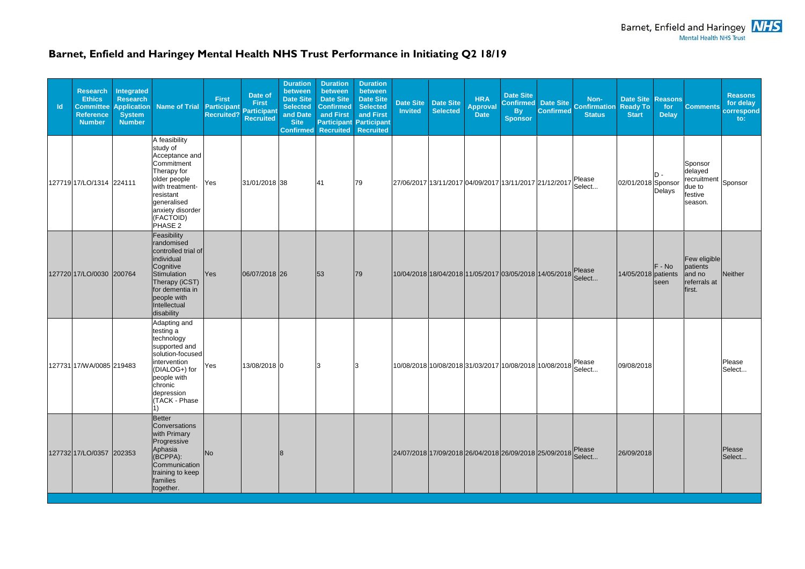## **Barnet, Enfield and Haringey Mental Health NHS Trust Performance in Initiating Q2 18/19**

| $\mathsf{Id}$ | <b>Research</b><br><b>Ethics</b><br><b>Committee</b><br><b>Reference</b><br><b>Number</b> | Integrated<br><b>Research</b><br><b>Application</b><br><b>System</b><br><b>Number</b> | <b>Name of Trial</b>                                                                                                                                                                | <b>First</b><br><b>Participant</b><br><b>Recruited?</b> | Date of<br><b>First</b><br><b>Participant</b><br>Recruited | <b>Duration</b><br>between<br><b>Date Site</b><br><b>Selected</b><br>and Date<br><b>Site</b><br><b>Confirmed</b> | <b>Duration</b><br>between<br><b>Date Site</b><br><b>Confirmed</b><br>and First<br>Recruited | <b>Duration</b><br>between<br><b>Date Site</b><br><b>Selected</b><br>and First<br><b>Participant Participant</b><br><b>Recruited</b> | <b>Invited</b> | Date Site Date Site<br>Selected                        | <b>HRA</b><br><b>Approval</b><br><b>Date</b> | <b>Date Site</b><br><b>Confirmed</b><br><b>By</b><br><b>Sponsor</b> | <b>Date Site</b><br><b>Confirmed</b> | Non-<br><b>Confirmation</b><br><b>Status</b> | <b>Date Site Reasons</b><br><b>Ready To</b><br><b>Start</b> | for<br><b>Delay</b> | <b>Comments</b>                                                   | <b>Reasons</b><br>for delay<br>correspond<br>$\mathbf{to}$ : |
|---------------|-------------------------------------------------------------------------------------------|---------------------------------------------------------------------------------------|-------------------------------------------------------------------------------------------------------------------------------------------------------------------------------------|---------------------------------------------------------|------------------------------------------------------------|------------------------------------------------------------------------------------------------------------------|----------------------------------------------------------------------------------------------|--------------------------------------------------------------------------------------------------------------------------------------|----------------|--------------------------------------------------------|----------------------------------------------|---------------------------------------------------------------------|--------------------------------------|----------------------------------------------|-------------------------------------------------------------|---------------------|-------------------------------------------------------------------|--------------------------------------------------------------|
|               | 127719 17/LO/1314 224111                                                                  |                                                                                       | A feasibility<br>study of<br>Acceptance and<br>Commitment<br>Therapy for<br>older people<br>with treatment-<br>resistant<br>generalised<br>anxiety disorder<br>(FACTOID)<br>PHASE 2 | Yes                                                     | 31/01/2018 38                                              |                                                                                                                  | 41                                                                                           | 79                                                                                                                                   |                | 27/06/2017 13/11/2017 04/09/2017 13/11/2017 21/12/2017 |                                              |                                                                     |                                      | Please<br>Select                             | 02/01/2018 Sponsor                                          | D -<br>Delays       | Sponsor<br>delayed<br>recruitment<br>due to<br>festive<br>season. | Sponsor                                                      |
|               | 127720 17/LO/0030 200764                                                                  |                                                                                       | Feasibility<br>randomised<br>controlled trial of<br>individual<br>Cognitive<br>Stimulation<br>Therapy (iCST)<br>for dementia in<br>people with<br>Intellectual<br>disability        | <b>Yes</b>                                              | 06/07/2018 26                                              |                                                                                                                  | 53                                                                                           | 79                                                                                                                                   |                | 10/04/2018 18/04/2018 11/05/2017 03/05/2018 14/05/2018 |                                              |                                                                     |                                      | Please<br>Select                             | 14/05/2018 patients                                         | $F - No$<br>seen    | Few eligible<br>patients<br>and no<br>referrals at<br>first.      | Neither                                                      |
|               | 127731 17/WA/0085 219483                                                                  |                                                                                       | Adapting and<br>testing a<br>technology<br>supported and<br>solution-focused<br>intervention<br>(DIALOG+) for<br>people with<br>chronic<br>depression<br>(TACK - Phase              | Yes                                                     | 13/08/2018 0                                               |                                                                                                                  | З                                                                                            |                                                                                                                                      |                | 10/08/2018 10/08/2018 31/03/2017 10/08/2018 10/08/2018 |                                              |                                                                     |                                      | Please<br>Select                             | 09/08/2018                                                  |                     |                                                                   | Please<br>Select                                             |
|               | 127732 17/LO/0357 202353                                                                  |                                                                                       | Better<br>Conversations<br>with Primary<br>Progressive<br>Aphasia<br>(BCPPA):<br>Communication<br>training to keep<br>families<br>together.                                         | N <sub>o</sub>                                          |                                                            |                                                                                                                  |                                                                                              |                                                                                                                                      |                | 24/07/2018 17/09/2018 26/04/2018 26/09/2018 25/09/2018 |                                              |                                                                     |                                      | Please<br>Select                             | 26/09/2018                                                  |                     |                                                                   | Please<br>Select                                             |